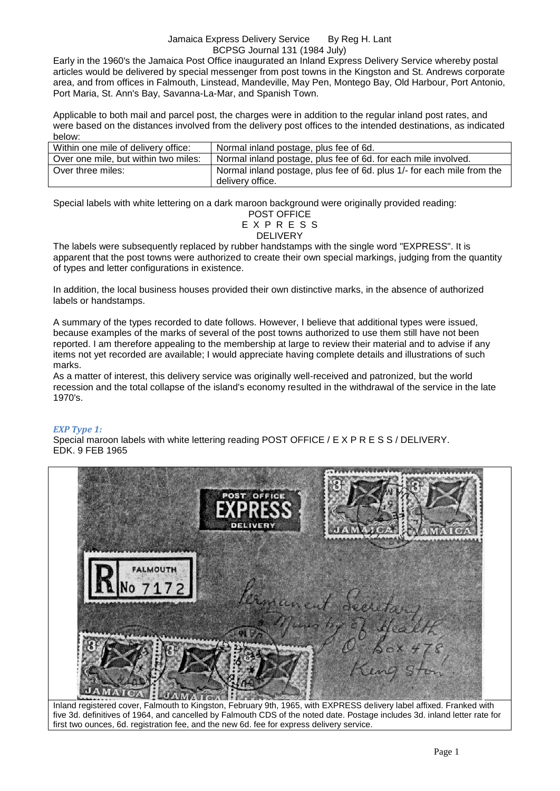#### Jamaica Express Delivery Service By Reg H. Lant BCPSG Journal 131 (1984 July)

Early in the 1960's the Jamaica Post Office inaugurated an Inland Express Delivery Service whereby postal articles would be delivered by special messenger from post towns in the Kingston and St. Andrews corporate area, and from offices in Falmouth, Linstead, Mandeville, May Pen, Montego Bay, Old Harbour, Port Antonio, Port Maria, St. Ann's Bay, Savanna-La-Mar, and Spanish Town.

Applicable to both mail and parcel post, the charges were in addition to the regular inland post rates, and were based on the distances involved from the delivery post offices to the intended destinations, as indicated below:

| Within one mile of delivery office:  | Normal inland postage, plus fee of 6d.                                                     |
|--------------------------------------|--------------------------------------------------------------------------------------------|
| Over one mile, but within two miles: | Normal inland postage, plus fee of 6d. for each mile involved.                             |
| Over three miles:                    | Normal inland postage, plus fee of 6d. plus 1/- for each mile from the<br>delivery office. |

Special labels with white lettering on a dark maroon background were originally provided reading:

POST OFFICE E X P R E S S DELIVERY

The labels were subsequently replaced by rubber handstamps with the single word "EXPRESS". It is apparent that the post towns were authorized to create their own special markings, judging from the quantity of types and letter configurations in existence.

In addition, the local business houses provided their own distinctive marks, in the absence of authorized labels or handstamps.

A summary of the types recorded to date follows. However, I believe that additional types were issued, because examples of the marks of several of the post towns authorized to use them still have not been reported. I am therefore appealing to the membership at large to review their material and to advise if any items not yet recorded are available; I would appreciate having complete details and illustrations of such marks.

As a matter of interest, this delivery service was originally well-received and patronized, but the world recession and the total collapse of the island's economy resulted in the withdrawal of the service in the late 1970's.

# *EXP Type 1:*

Special maroon labels with white lettering reading POST OFFICE / E X P R E S S / DELIVERY. EDK. 9 FEB 1965



five 3d. definitives of 1964, and cancelled by Falmouth CDS of the noted date. Postage includes 3d. inland letter rate for first two ounces, 6d. registration fee, and the new 6d. fee for express delivery service.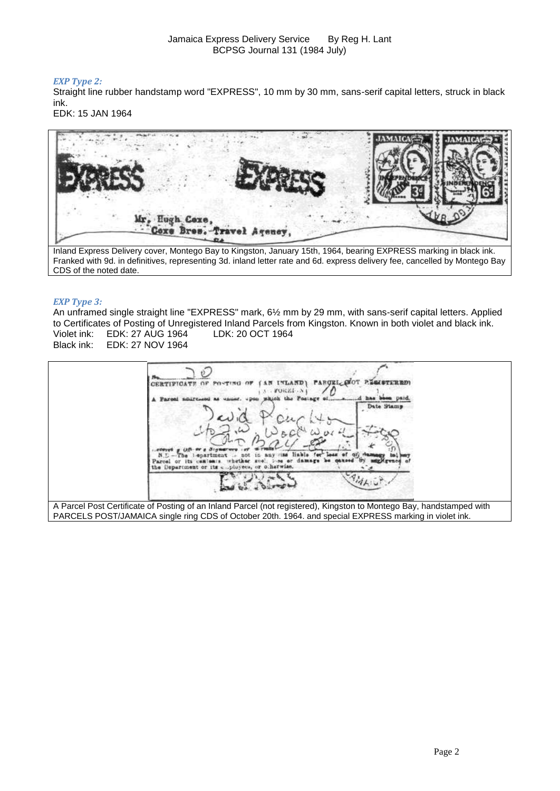# *EXP Type 2:*

Straight line rubber handstamp word "EXPRESS", 10 mm by 30 mm, sans-serif capital letters, struck in black ink.

EDK: 15 JAN 1964



Inland Express Delivery cover, Montego Bay to Kingston, January 15th, 1964, bearing EXPRESS marking in black ink. Franked with 9d. in definitives, representing 3d. inland letter rate and 6d. express delivery fee, cancelled by Montego Bay CDS of the noted date.

# *EXP Type 3:*

An unframed single straight line "EXPRESS" mark, 6½ mm by 29 mm, with sans-serif capital letters. Applied to Certificates of Posting of Unregistered Inland Parcels from Kingston. Known in both violet and black ink. Violet ink: EDK: 27 AUG 1964 LDK: 20 OCT 1964 EDK: 27 NOV 1964



PARCELS POST/JAMAICA single ring CDS of October 20th. 1964. and special EXPRESS marking in violet ink.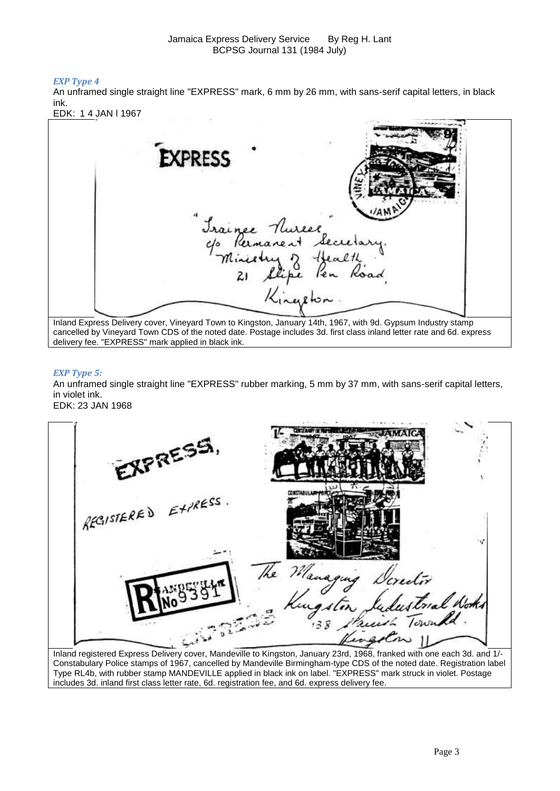## *EXP Type 4*

An unframed single straight line "EXPRESS" mark, 6 mm by 26 mm, with sans-serif capital letters, in black ink.

EDK: 1 4 JAN l 1967

| <b>EXPRESS</b>                                                                                                                                                                                                                                                                              |  |
|---------------------------------------------------------------------------------------------------------------------------------------------------------------------------------------------------------------------------------------------------------------------------------------------|--|
| Irainee Nureer<br>c/o Reimanent Secretary                                                                                                                                                                                                                                                   |  |
| Inland Express Delivery cover, Vineyard Town to Kingston, January 14th, 1967, with 9d. Gypsum Industry stamp<br>cancelled by Vineyard Town CDS of the noted date. Postage includes 3d. first class inland letter rate and 6d. express<br>delivery fee. "EXPRESS" mark applied in black ink. |  |

### *EXP Type 5:*

An unframed single straight line "EXPRESS" rubber marking, 5 mm by 37 mm, with sans-serif capital letters, in violet ink.

EDK: 23 JAN 1968

| EXPRESS.            |                           |  |
|---------------------|---------------------------|--|
| REGISTERED EXPRESS. |                           |  |
|                     | The Managing Dorector     |  |
|                     | Kingston Sudustrial Notes |  |

Inland registered Express Delivery cover, Mandeville to Kingston, January 23rd, 1968, franked with one each 3d. and 1/- Constabulary Police stamps of 1967, cancelled by Mandeville Birmingham-type CDS of the noted date. Registration label Type RL4b, with rubber stamp MANDEVILLE applied in black ink on label. "EXPRESS" mark struck in violet. Postage includes 3d. inland first class letter rate, 6d. registration fee, and 6d. express delivery fee.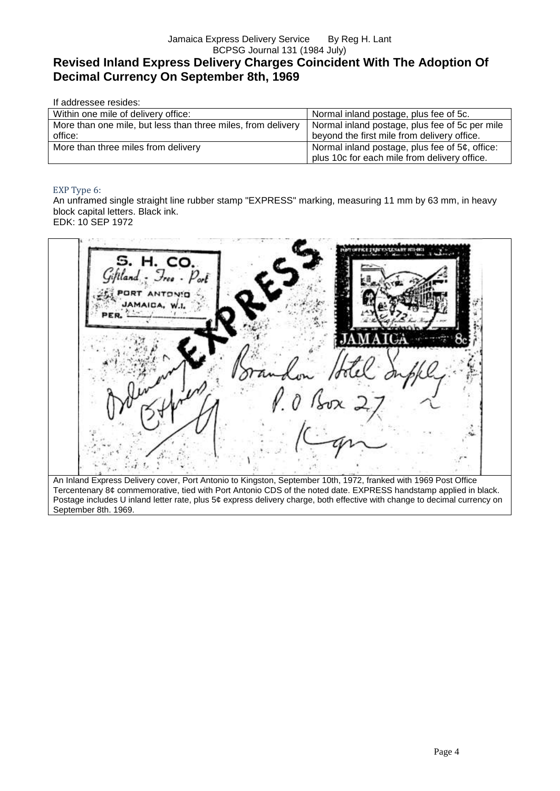# Jamaica Express Delivery Service By Reg H. Lant BCPSG Journal 131 (1984 July) **Revised Inland Express Delivery Charges Coincident With The Adoption Of Decimal Currency On September 8th, 1969**

| If addressee resides:                                                   |                                                                                                   |
|-------------------------------------------------------------------------|---------------------------------------------------------------------------------------------------|
| Within one mile of delivery office:                                     | Normal inland postage, plus fee of 5c.                                                            |
| More than one mile, but less than three miles, from delivery<br>office: | Normal inland postage, plus fee of 5c per mile<br>beyond the first mile from delivery office.     |
| More than three miles from delivery                                     | Normal inland postage, plus fee of $5¢$ , office:<br>plus 10c for each mile from delivery office. |

### EXP Type 6:

An unframed single straight line rubber stamp "EXPRESS" marking, measuring 11 mm by 63 mm, in heavy block capital letters. Black ink. EDK: 10 SEP 1972

H. CO. An Inland Express Delivery cover, Port Antonio to Kingston, September 10th, 1972, franked with 1969 Post Office Tercentenary 8¢ commemorative, tied with Port Antonio CDS of the noted date. EXPRESS handstamp applied in black. Postage includes U inland letter rate, plus 5¢ express delivery charge, both effective with change to decimal currency on September 8th. 1969.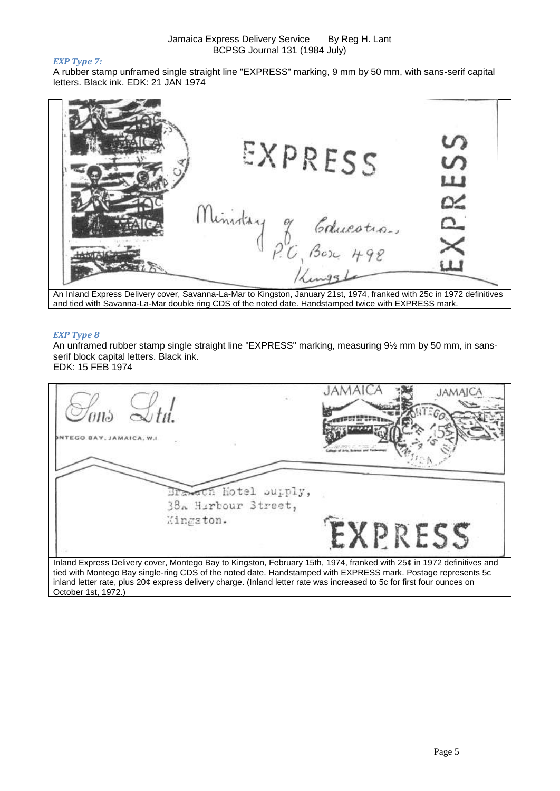### *EXP Type 7:*

A rubber stamp unframed single straight line "EXPRESS" marking, 9 mm by 50 mm, with sans-serif capital letters. Black ink. EDK: 21 JAN 1974

| EXPRESS                 | ທ<br>$\sigma$ |
|-------------------------|---------------|
|                         | ய             |
| Ministry<br>Cducotion   | D2<br>≏-      |
|                         |               |
| P.C. Bosc 492<br>Kingst |               |

An Inland Express Delivery cover, Savanna-La-Mar to Kingston, January 21st, 1974, franked with 25c in 1972 definitives and tied with Savanna-La-Mar double ring CDS of the noted date. Handstamped twice with EXPRESS mark.

### *EXP Type 8*

An unframed rubber stamp single straight line "EXPRESS" marking, measuring 9½ mm by 50 mm, in sansserif block capital letters. Black ink.

EDK: 15 FEB 1974

| TEGO BAY, JAMAICA, W.I.                                                                                                                                                                                                                |         |
|----------------------------------------------------------------------------------------------------------------------------------------------------------------------------------------------------------------------------------------|---------|
| work hotel supply,                                                                                                                                                                                                                     |         |
| 38. Hirbour Street,                                                                                                                                                                                                                    |         |
| Kingston.                                                                                                                                                                                                                              | EXPRESS |
| Inland Express Delivery cover, Montego Bay to Kingston, February 15th, 1974, franked with 25¢ in 1972 definitives and<br>tied with Montego Bay single-ring CDS of the noted date. Handstamped with EXPRESS mark. Postage represents 5c |         |
| inland letter rate, plus 20¢ express delivery charge. (Inland letter rate was increased to 5c for first four ounces on                                                                                                                 |         |
| October 1st, 1972.)                                                                                                                                                                                                                    |         |